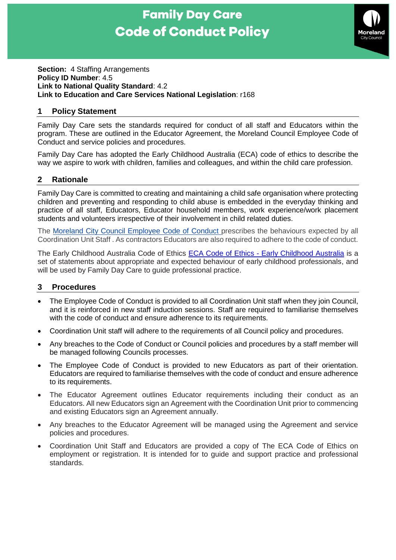# **Family Day Care Code of Conduct Policy**



#### **Section: 4 Staffing Arrangements Policy ID Number**: 4.5 **Link to National Quality Standard**: 4.2 **Link to Education and Care Services National Legislation**: r168

# **1 Policy Statement**

Family Day Care sets the standards required for conduct of all staff and Educators within the program. These are outlined in the Educator Agreement, the Moreland Council Employee Code of Conduct and service policies and procedures.

Family Day Care has adopted the Early Childhood Australia (ECA) code of ethics to describe the way we aspire to work with children, families and colleagues, and within the child care profession.

### **2 Rationale**

Family Day Care is committed to creating and maintaining a child safe organisation where protecting children and preventing and responding to child abuse is embedded in the everyday thinking and practice of all staff, Educators, Educator household members, work experience/work placement students and volunteers irrespective of their involvement in child related duties.

The [Moreland City Council Employee Code of Conduct](https://grapevine.moreland.vic.gov.au/advanced/hprm/GetRmFile.ashx?uri=4041243&filename=Moreland%20City%20Council%20-%20Employee%20Code%20of%20Conduct%20Booklet%20-%20%202016.PDF&type=s) prescribes the behaviours expected by all Coordination Unit Staff . As contractors Educators are also required to adhere to the code of conduct.

The Early Childhood Australia Code of Ethics ECA Code of Ethics - [Early Childhood Australia](http://www.earlychildhoodaustralia.org.au/our-publications/eca-code-ethics/) is a set of statements about appropriate and expected behaviour of early childhood professionals, and will be used by Family Day Care to quide professional practice.

# **3 Procedures**

- The Employee Code of Conduct is provided to all Coordination Unit staff when they join Council, and it is reinforced in new staff induction sessions. Staff are required to familiarise themselves with the code of conduct and ensure adherence to its requirements.
- Coordination Unit staff will adhere to the requirements of all Council policy and procedures.
- Any breaches to the Code of Conduct or Council policies and procedures by a staff member will be managed following Councils processes.
- The Employee Code of Conduct is provided to new Educators as part of their orientation. Educators are required to familiarise themselves with the code of conduct and ensure adherence to its requirements.
- The Educator Agreement outlines Educator requirements including their conduct as an Educators. All new Educators sign an Agreement with the Coordination Unit prior to commencing and existing Educators sign an Agreement annually.
- Any breaches to the Educator Agreement will be managed using the Agreement and service policies and procedures.
- Coordination Unit Staff and Educators are provided a copy of The ECA Code of Ethics on employment or registration. It is intended for to guide and support practice and professional standards.